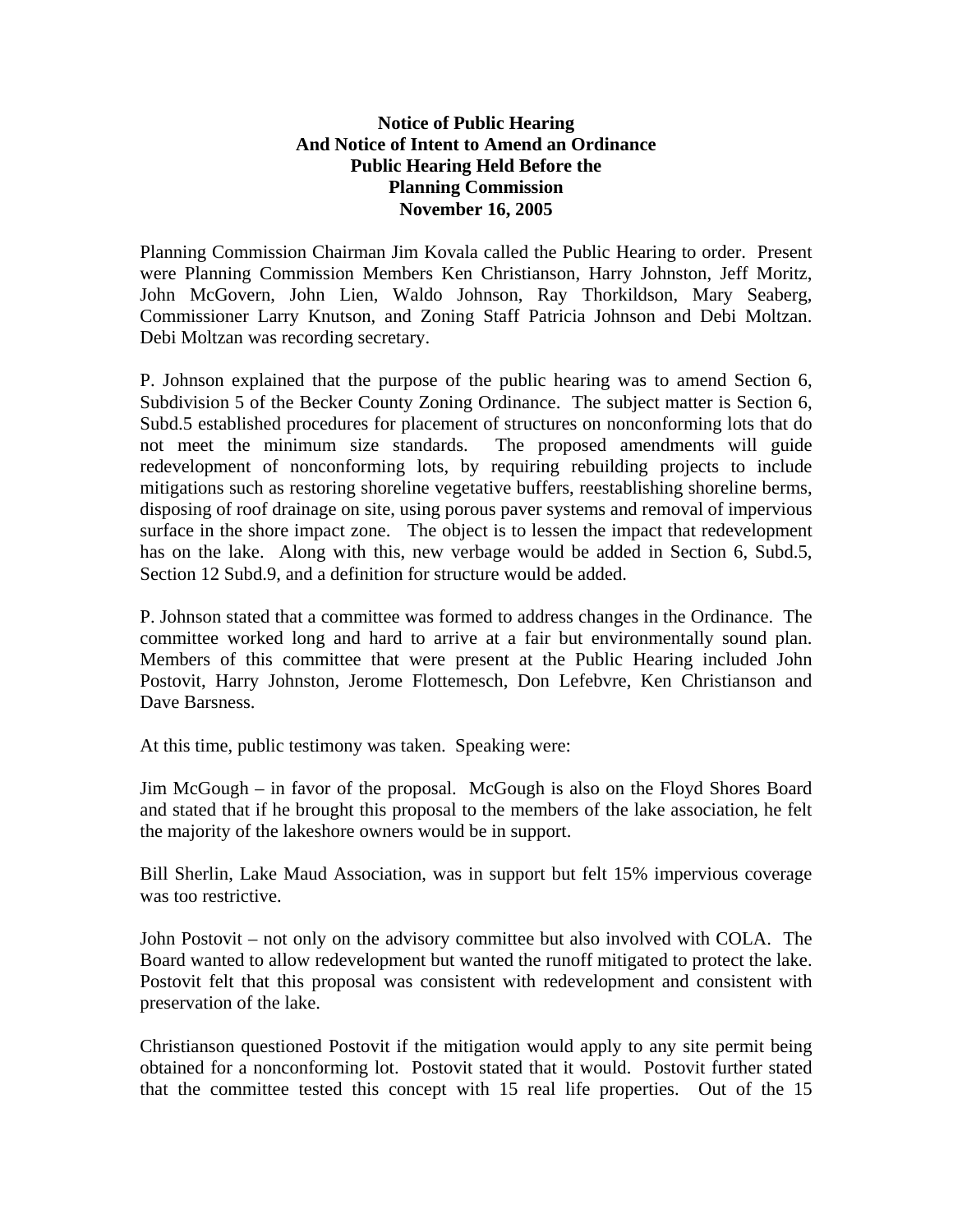## **Notice of Public Hearing And Notice of Intent to Amend an Ordinance Public Hearing Held Before the Planning Commission November 16, 2005**

Planning Commission Chairman Jim Kovala called the Public Hearing to order. Present were Planning Commission Members Ken Christianson, Harry Johnston, Jeff Moritz, John McGovern, John Lien, Waldo Johnson, Ray Thorkildson, Mary Seaberg, Commissioner Larry Knutson, and Zoning Staff Patricia Johnson and Debi Moltzan. Debi Moltzan was recording secretary.

P. Johnson explained that the purpose of the public hearing was to amend Section 6, Subdivision 5 of the Becker County Zoning Ordinance. The subject matter is Section 6, Subd.5 established procedures for placement of structures on nonconforming lots that do not meet the minimum size standards. The proposed amendments will guide redevelopment of nonconforming lots, by requiring rebuilding projects to include mitigations such as restoring shoreline vegetative buffers, reestablishing shoreline berms, disposing of roof drainage on site, using porous paver systems and removal of impervious surface in the shore impact zone. The object is to lessen the impact that redevelopment has on the lake. Along with this, new verbage would be added in Section 6, Subd.5, Section 12 Subd.9, and a definition for structure would be added.

P. Johnson stated that a committee was formed to address changes in the Ordinance. The committee worked long and hard to arrive at a fair but environmentally sound plan. Members of this committee that were present at the Public Hearing included John Postovit, Harry Johnston, Jerome Flottemesch, Don Lefebvre, Ken Christianson and Dave Barsness.

At this time, public testimony was taken. Speaking were:

Jim McGough – in favor of the proposal. McGough is also on the Floyd Shores Board and stated that if he brought this proposal to the members of the lake association, he felt the majority of the lakeshore owners would be in support.

Bill Sherlin, Lake Maud Association, was in support but felt 15% impervious coverage was too restrictive.

John Postovit – not only on the advisory committee but also involved with COLA. The Board wanted to allow redevelopment but wanted the runoff mitigated to protect the lake. Postovit felt that this proposal was consistent with redevelopment and consistent with preservation of the lake.

Christianson questioned Postovit if the mitigation would apply to any site permit being obtained for a nonconforming lot. Postovit stated that it would. Postovit further stated that the committee tested this concept with 15 real life properties. Out of the 15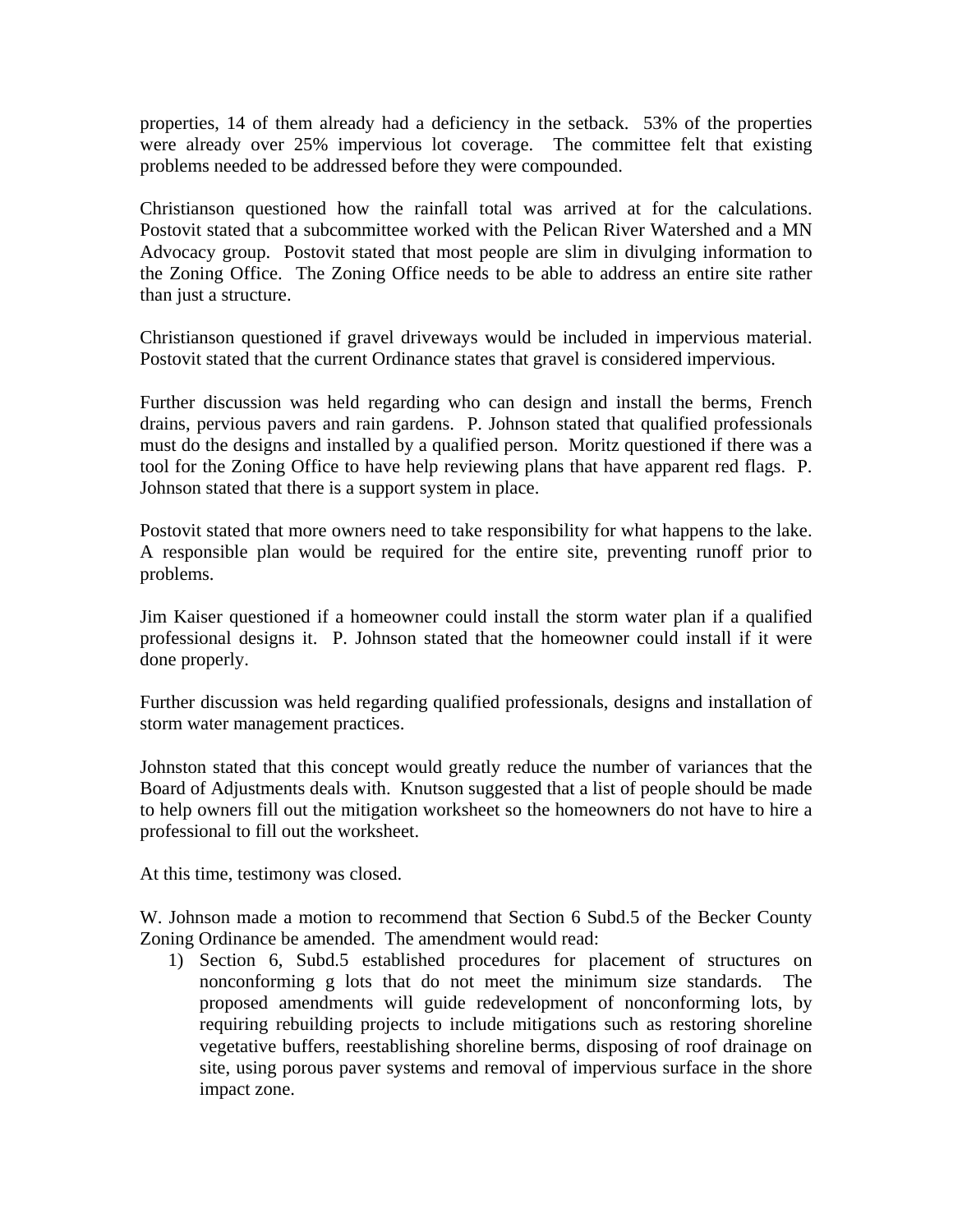properties, 14 of them already had a deficiency in the setback. 53% of the properties were already over 25% impervious lot coverage. The committee felt that existing problems needed to be addressed before they were compounded.

Christianson questioned how the rainfall total was arrived at for the calculations. Postovit stated that a subcommittee worked with the Pelican River Watershed and a MN Advocacy group. Postovit stated that most people are slim in divulging information to the Zoning Office. The Zoning Office needs to be able to address an entire site rather than just a structure.

Christianson questioned if gravel driveways would be included in impervious material. Postovit stated that the current Ordinance states that gravel is considered impervious.

Further discussion was held regarding who can design and install the berms, French drains, pervious pavers and rain gardens. P. Johnson stated that qualified professionals must do the designs and installed by a qualified person. Moritz questioned if there was a tool for the Zoning Office to have help reviewing plans that have apparent red flags. P. Johnson stated that there is a support system in place.

Postovit stated that more owners need to take responsibility for what happens to the lake. A responsible plan would be required for the entire site, preventing runoff prior to problems.

Jim Kaiser questioned if a homeowner could install the storm water plan if a qualified professional designs it. P. Johnson stated that the homeowner could install if it were done properly.

Further discussion was held regarding qualified professionals, designs and installation of storm water management practices.

Johnston stated that this concept would greatly reduce the number of variances that the Board of Adjustments deals with. Knutson suggested that a list of people should be made to help owners fill out the mitigation worksheet so the homeowners do not have to hire a professional to fill out the worksheet.

At this time, testimony was closed.

W. Johnson made a motion to recommend that Section 6 Subd.5 of the Becker County Zoning Ordinance be amended. The amendment would read:

1) Section 6, Subd.5 established procedures for placement of structures on nonconforming g lots that do not meet the minimum size standards. The proposed amendments will guide redevelopment of nonconforming lots, by requiring rebuilding projects to include mitigations such as restoring shoreline vegetative buffers, reestablishing shoreline berms, disposing of roof drainage on site, using porous paver systems and removal of impervious surface in the shore impact zone.